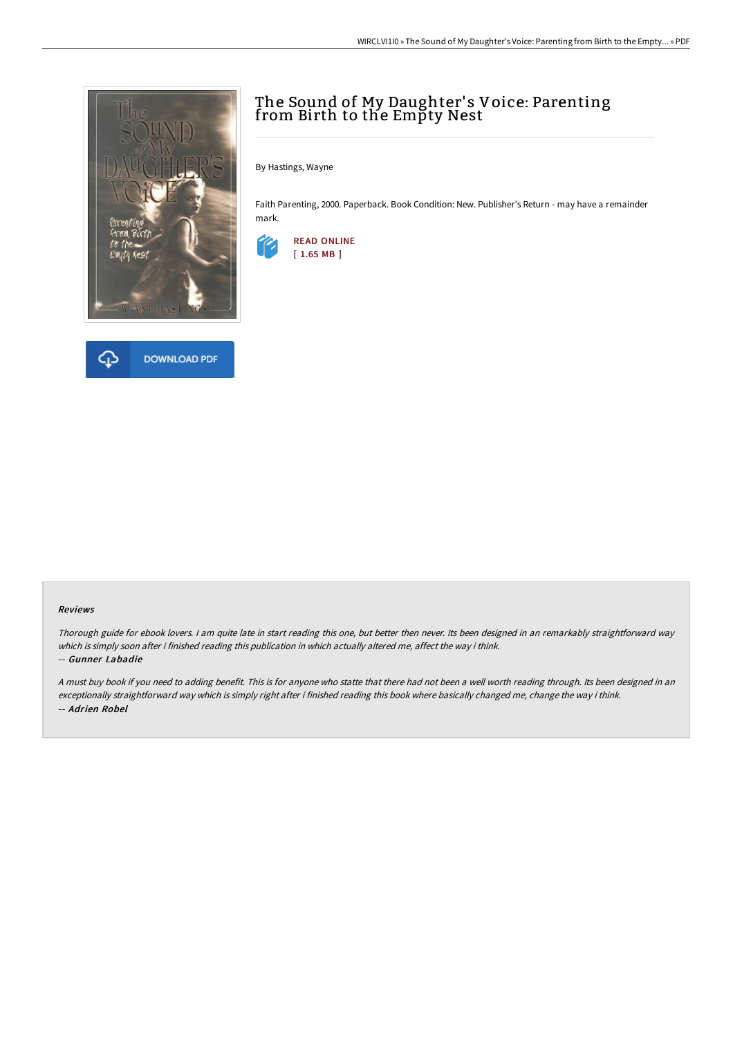



# The Sound of My Daughter' s Voice: Parenting from Birth to the Empty Nest

By Hastings, Wayne

Faith Parenting, 2000. Paperback. Book Condition: New. Publisher's Return - may have a remainder mark.



#### Reviews

Thorough guide for ebook lovers. <sup>I</sup> am quite late in start reading this one, but better then never. Its been designed in an remarkably straightforward way which is simply soon after i finished reading this publication in which actually altered me, affect the way i think.

#### -- Gunner Labadie

<sup>A</sup> must buy book if you need to adding benefit. This is for anyone who statte that there had not been <sup>a</sup> well worth reading through. Its been designed in an exceptionally straightforward way which is simply right after i finished reading this book where basically changed me, change the way i think. -- Adrien Robel